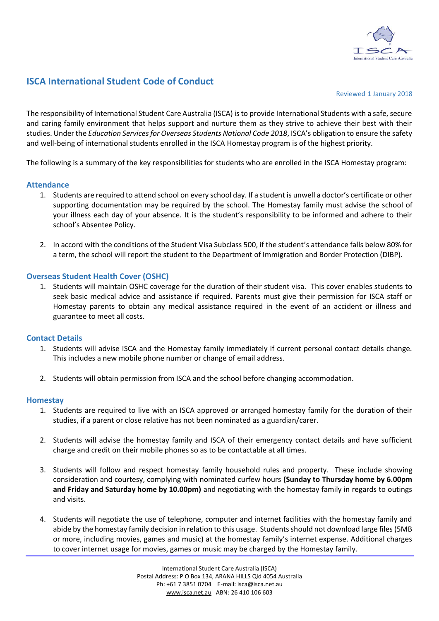

# **ISCA International Student Code of Conduct**

Reviewed 1 January 2018

The responsibility of International Student Care Australia (ISCA) is to provide International Students with a safe, secure and caring family environment that helps support and nurture them as they strive to achieve their best with their studies. Under the *Education Services for Overseas Students National Code 2018*, ISCA's obligation to ensure the safety and well-being of international students enrolled in the ISCA Homestay program is of the highest priority.

The following is a summary of the key responsibilities for students who are enrolled in the ISCA Homestay program:

#### **Attendance**

- 1. Students are required to attend school on every school day. If a student is unwell a doctor's certificate or other supporting documentation may be required by the school. The Homestay family must advise the school of your illness each day of your absence. It is the student's responsibility to be informed and adhere to their school's Absentee Policy.
- 2. In accord with the conditions of the Student Visa Subclass 500, if the student's attendance falls below 80% for a term, the school will report the student to the Department of Immigration and Border Protection (DIBP).

#### **Overseas Student Health Cover (OSHC)**

1. Students will maintain OSHC coverage for the duration of their student visa. This cover enables students to seek basic medical advice and assistance if required. Parents must give their permission for ISCA staff or Homestay parents to obtain any medical assistance required in the event of an accident or illness and guarantee to meet all costs.

# **Contact Details**

- 1. Students will advise ISCA and the Homestay family immediately if current personal contact details change. This includes a new mobile phone number or change of email address.
- 2. Students will obtain permission from ISCA and the school before changing accommodation.

#### **Homestay**

- 1. Students are required to live with an ISCA approved or arranged homestay family for the duration of their studies, if a parent or close relative has not been nominated as a guardian/carer.
- 2. Students will advise the homestay family and ISCA of their emergency contact details and have sufficient charge and credit on their mobile phones so as to be contactable at all times.
- 3. Students will follow and respect homestay family household rules and property. These include showing consideration and courtesy, complying with nominated curfew hours **(Sunday to Thursday home by 6.00pm and Friday and Saturday home by 10.00pm)** and negotiating with the homestay family in regards to outings and visits.
- 4. Students will negotiate the use of telephone, computer and internet facilities with the homestay family and abide by the homestay family decision in relation to this usage. Students should not download large files (5MB or more, including movies, games and music) at the homestay family's internet expense. Additional charges to cover internet usage for movies, games or music may be charged by the Homestay family.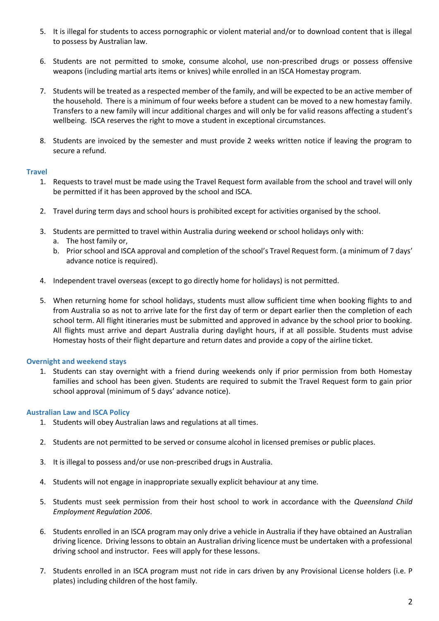- 5. It is illegal for students to access pornographic or violent material and/or to download content that is illegal to possess by Australian law.
- 6. Students are not permitted to smoke, consume alcohol, use non-prescribed drugs or possess offensive weapons (including martial arts items or knives) while enrolled in an ISCA Homestay program.
- 7. Students will be treated as a respected member of the family, and will be expected to be an active member of the household. There is a minimum of four weeks before a student can be moved to a new homestay family. Transfers to a new family will incur additional charges and will only be for valid reasons affecting a student's wellbeing. ISCA reserves the right to move a student in exceptional circumstances.
- 8. Students are invoiced by the semester and must provide 2 weeks written notice if leaving the program to secure a refund.

# **Travel**

- 1. Requests to travel must be made using the Travel Request form available from the school and travel will only be permitted if it has been approved by the school and ISCA.
- 2. Travel during term days and school hours is prohibited except for activities organised by the school.
- 3. Students are permitted to travel within Australia during weekend or school holidays only with:
	- a. The host family or,
	- b. Prior school and ISCA approval and completion of the school's Travel Request form. (a minimum of 7 days' advance notice is required).
- 4. Independent travel overseas (except to go directly home for holidays) is not permitted.
- 5. When returning home for school holidays, students must allow sufficient time when booking flights to and from Australia so as not to arrive late for the first day of term or depart earlier then the completion of each school term. All flight itineraries must be submitted and approved in advance by the school prior to booking. All flights must arrive and depart Australia during daylight hours, if at all possible. Students must advise Homestay hosts of their flight departure and return dates and provide a copy of the airline ticket.

# **Overnight and weekend stays**

1. Students can stay overnight with a friend during weekends only if prior permission from both Homestay families and school has been given. Students are required to submit the Travel Request form to gain prior school approval (minimum of 5 days' advance notice).

# **Australian Law and ISCA Policy**

- 1. Students will obey Australian laws and regulations at all times.
- 2. Students are not permitted to be served or consume alcohol in licensed premises or public places.
- 3. It is illegal to possess and/or use non-prescribed drugs in Australia.
- 4. Students will not engage in inappropriate sexually explicit behaviour at any time.
- 5. Students must seek permission from their host school to work in accordance with the *Queensland Child Employment Regulation 2006*.
- 6. Students enrolled in an ISCA program may only drive a vehicle in Australia if they have obtained an Australian driving licence. Driving lessons to obtain an Australian driving licence must be undertaken with a professional driving school and instructor. Fees will apply for these lessons.
- 7. Students enrolled in an ISCA program must not ride in cars driven by any Provisional License holders (i.e. P plates) including children of the host family.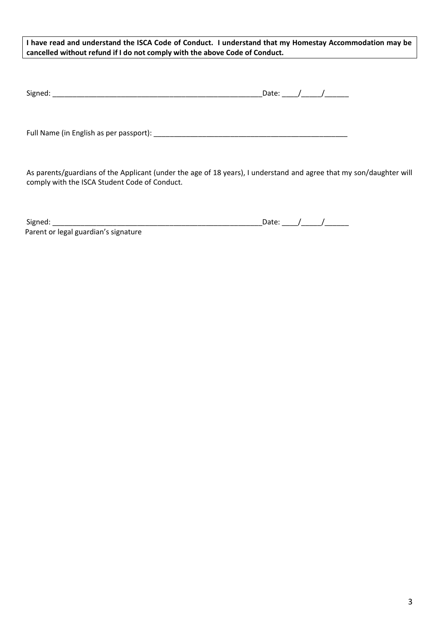**I have read and understand the ISCA Code of Conduct. I understand that my Homestay Accommodation may be cancelled without refund if I do not comply with the above Code of Conduct.**

| $\sim$<br>Signed: | ,,,,,, |  |
|-------------------|--------|--|
|                   | Jale.  |  |

Full Name (in English as per passport): \_\_\_\_\_\_\_\_\_\_\_\_\_\_\_\_\_\_\_\_\_\_\_\_\_\_\_\_\_\_\_\_\_\_\_\_\_\_\_\_\_\_\_\_\_\_\_\_

As parents/guardians of the Applicant (under the age of 18 years), I understand and agree that my son/daughter will comply with the ISCA Student Code of Conduct.

| <b>Naned</b> |  |
|--------------|--|

 $\Box$  Date:  $\Box$   $\Box$   $\Box$   $\Box$ 

Parent or legal guardian's signature